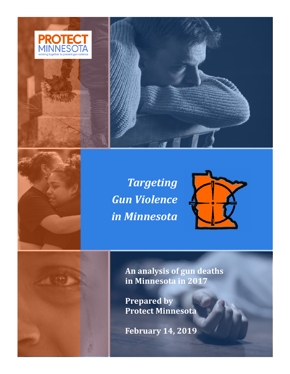



*Targeting Gun Violence in Minnesota*



**An analysis of gun deaths in Minnesota in 2017**

**Prepared by Protect Minnesota**

**February 14, 2019**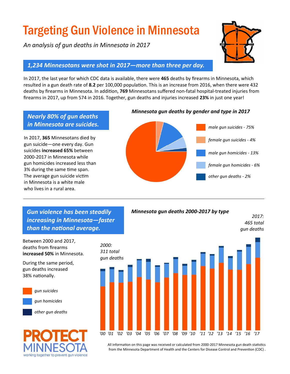# Targeting Gun Violence in Minnesota

*An analysis of gun deaths in Minnesota in 2017* 



*2017: 465 total gun deaths*

## *1,234 Minnesotans were shot in 2017—more than three per day.*

In 2017, the last year for which CDC data is available, there were **465** deaths by firearms in Minnesota, which resulted in a gun death rate of **8.2** per 100,000 population. This is an increase from 2016, when there were 432 deaths by firearms in Minnesota. In addition, **769** Minnesotans suffered non-fatal hospital-treated injuries from firearms in 2017, up from 574 in 2016. Together, gun deaths and injuries increased **23%** in just one year!

# *Nearly 80% of gun deaths in Minnesota are suicides.*

In 2017, **365** Minnesotans died by gun suicide—one every day. Gun suicides **increased 65%** between 2000-2017 in Minnesota while gun homicides increased less than 3% during the same time span. The average gun suicide victim in Minnesota is a white male who lives in a rural area.

#### *Minnesota gun deaths by gender and type in 2017*



 *Gun violence has been steadily increasing in Minnesota—faster than the national average.*

Between 2000 and 2017, deaths from firearms **increased 50%** in Minnesota.

During the same period, gun deaths increased 38% nationally.



*gun suicides*

*gun homicides*

*other gun deaths*





*Minnesota gun deaths 2000-2017 by type*

All information on this page was received or calculated from 2000-2017 Minnesota gun death statistics from the Minnesota Department of Health and the Centers for Disease Control and Prevention (CDC) .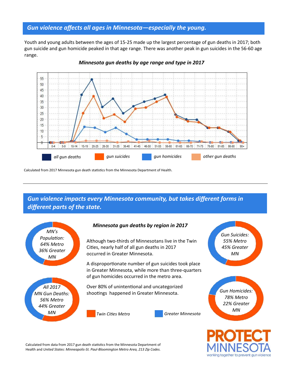## *Gun violence affects all ages in Minnesota—especially the young.*

Youth and young adults between the ages of 15-25 made up the largest percentage of gun deaths in 2017; both gun suicide and gun homicide peaked in that age range. There was another peak in gun suicides in the 56-60 age range.



*Minnesota gun deaths by age range and type in 2017*

Calculated from 2017 Minnesota gun death statistics from the Minnesota Department of Health.

 *Gun violence impacts every Minnesota community, but takes different forms in different parts of the state.*



*44% Greater MN*

#### *Minnesota gun deaths by region in 2017*

Although two-thirds of Minnesotans live in the Twin Cities, nearly half of all gun deaths in 2017 occurred in Greater Minnesota.

A disproportionate number of gun suicides took place in Greater Minnesota, while more than three-quarters of gun homicides occurred in the metro area.

Over 80% of unintentional and uncategorized shootings happened in Greater Minnesota.



*Twin Cities Metro Greater Minnesota*

*Gun Homicides: 78% Metro*

Calculated from data from 2017 gun death statistics from the Minnesota Department of Health and *United States: Minneapolis-St. Paul-Bloomington Metro Area, 213 Zip Codes.*